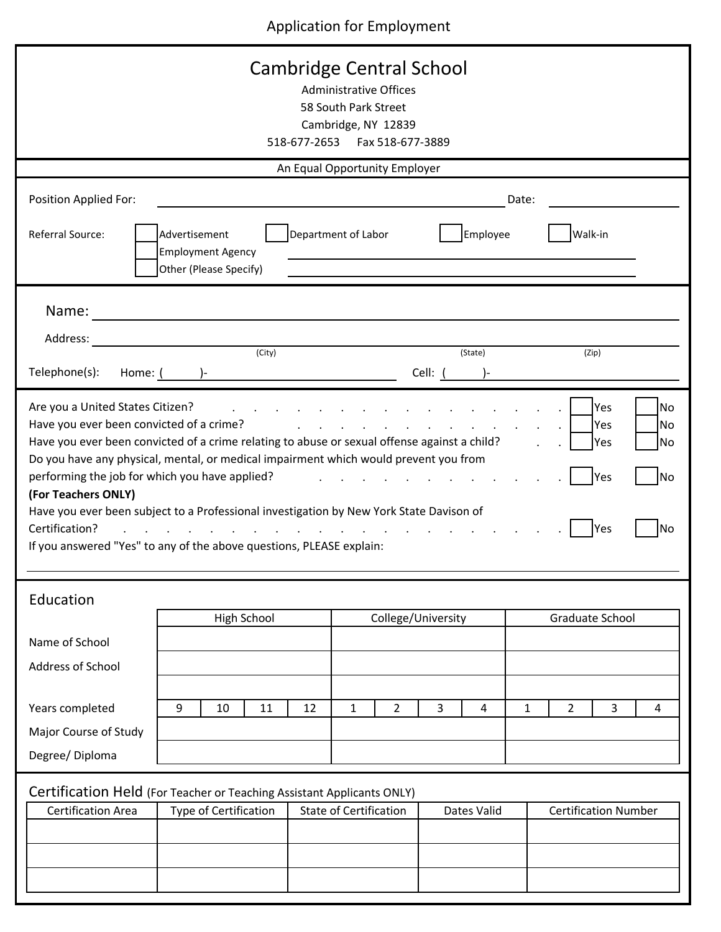Application for Employment

| Cambridge Central School<br><b>Administrative Offices</b><br>58 South Park Street<br>Cambridge, NY 12839<br>518-677-2653    Fax 518-677-3889                                                                                                                                                                                                                                                                                                                                                                                                                                                                                                                                                                                                                                                       |                                                                     |                               |                    |                               |  |  |
|----------------------------------------------------------------------------------------------------------------------------------------------------------------------------------------------------------------------------------------------------------------------------------------------------------------------------------------------------------------------------------------------------------------------------------------------------------------------------------------------------------------------------------------------------------------------------------------------------------------------------------------------------------------------------------------------------------------------------------------------------------------------------------------------------|---------------------------------------------------------------------|-------------------------------|--------------------|-------------------------------|--|--|
| An Equal Opportunity Employer                                                                                                                                                                                                                                                                                                                                                                                                                                                                                                                                                                                                                                                                                                                                                                      |                                                                     |                               |                    |                               |  |  |
| Position Applied For:<br>Referral Source:                                                                                                                                                                                                                                                                                                                                                                                                                                                                                                                                                                                                                                                                                                                                                          | Advertisement<br><b>Employment Agency</b><br>Other (Please Specify) | Department of Labor           | Employee           | Date:<br>Walk-in              |  |  |
| Name:<br>Address:<br>Telephone(s):                                                                                                                                                                                                                                                                                                                                                                                                                                                                                                                                                                                                                                                                                                                                                                 | (City)<br>Home: $($ $)$ -                                           |                               | (State)<br>Cell: ( | (Zip)                         |  |  |
| Are you a United States Citizen?<br><b>No</b><br>Yes<br>Have you ever been convicted of a crime?<br>Yes<br>and a strong control of the state of the<br><b>No</b><br>Have you ever been convicted of a crime relating to abuse or sexual offense against a child?<br>Yes<br>No<br>Do you have any physical, mental, or medical impairment which would prevent you from<br>performing the job for which you have applied?<br><b>No</b><br>Yes<br>(For Teachers ONLY)<br>Have you ever been subject to a Professional investigation by New York State Davison of<br>Certification?<br><b>No</b><br>Yes<br>and the contract of the contract of the contract of the contract of the contract of the contract of the contract of<br>If you answered "Yes" to any of the above questions, PLEASE explain: |                                                                     |                               |                    |                               |  |  |
| Education<br>Name of School<br><b>Address of School</b>                                                                                                                                                                                                                                                                                                                                                                                                                                                                                                                                                                                                                                                                                                                                            | High School                                                         |                               | College/University | Graduate School               |  |  |
| Years completed<br>Major Course of Study<br>Degree/Diploma                                                                                                                                                                                                                                                                                                                                                                                                                                                                                                                                                                                                                                                                                                                                         | 9<br>10<br>11                                                       | $\overline{2}$<br>12<br>1     | 3<br>4             | $\overline{2}$<br>3<br>1<br>4 |  |  |
| Certification Held (For Teacher or Teaching Assistant Applicants ONLY)<br><b>Certification Area</b>                                                                                                                                                                                                                                                                                                                                                                                                                                                                                                                                                                                                                                                                                                | Type of Certification                                               | <b>State of Certification</b> | Dates Valid        | <b>Certification Number</b>   |  |  |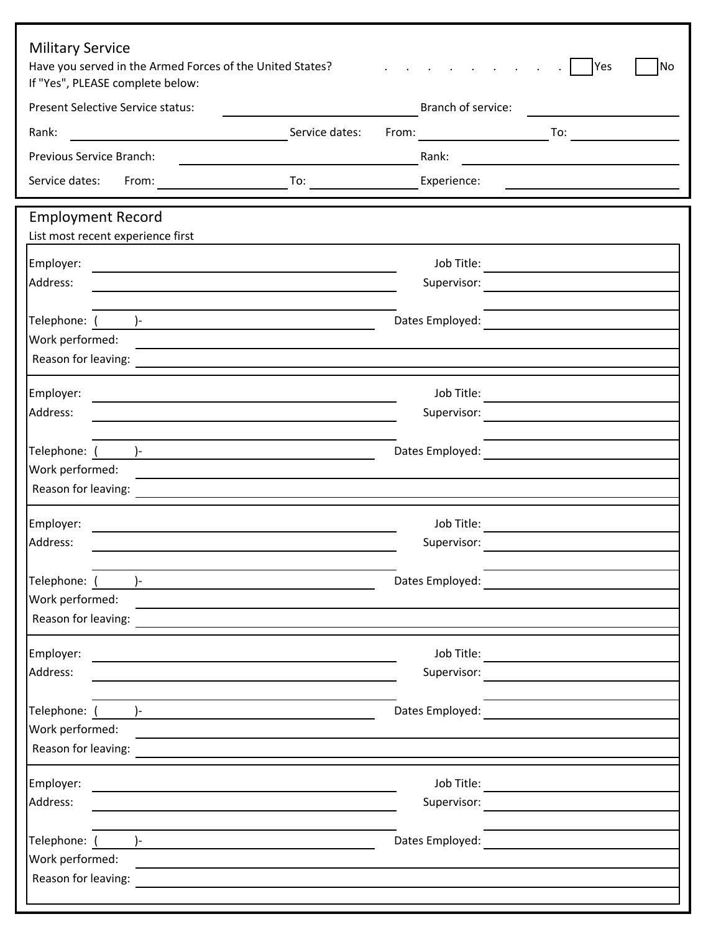| <b>Military Service</b><br>Have you served in the Armed Forces of the United States?<br>If "Yes", PLEASE complete below:                |                                                                                                                                                                                                                                                         | <b>No</b><br>Yes  |
|-----------------------------------------------------------------------------------------------------------------------------------------|---------------------------------------------------------------------------------------------------------------------------------------------------------------------------------------------------------------------------------------------------------|-------------------|
| <b>Present Selective Service status:</b>                                                                                                | Branch of service:                                                                                                                                                                                                                                      |                   |
| Rank:                                                                                                                                   | Service dates:<br>From:                                                                                                                                                                                                                                 | $\overline{10}$ : |
| Previous Service Branch:                                                                                                                | Rank:                                                                                                                                                                                                                                                   |                   |
| Service dates:<br>From:                                                                                                                 | To:<br>Experience:                                                                                                                                                                                                                                      |                   |
| <b>Employment Record</b><br>List most recent experience first                                                                           |                                                                                                                                                                                                                                                         |                   |
| Employer:                                                                                                                               | Job Title:                                                                                                                                                                                                                                              |                   |
| Address:                                                                                                                                | Supervisor:<br><u> 1989 - Jan Barbara Barat, prima politik po</u>                                                                                                                                                                                       |                   |
|                                                                                                                                         |                                                                                                                                                                                                                                                         |                   |
| Telephone: $\begin{pmatrix} 1 & 1 & 1 \\ 1 & 1 & 1 \\ 1 & 1 & 1 \end{pmatrix}$                                                          | Dates Employed:<br><u>and the state of the state of the state of the state of the state of the state of the state of the state of the state of the state of the state of the state of the state of the state of the state of the state of the state</u> |                   |
| Work performed:<br>Reason for leaving:                                                                                                  |                                                                                                                                                                                                                                                         |                   |
|                                                                                                                                         |                                                                                                                                                                                                                                                         |                   |
| Employer:                                                                                                                               |                                                                                                                                                                                                                                                         |                   |
| Address:                                                                                                                                |                                                                                                                                                                                                                                                         |                   |
| Telephone: ( )-                                                                                                                         | Dates Employed:                                                                                                                                                                                                                                         |                   |
| Work performed:                                                                                                                         |                                                                                                                                                                                                                                                         |                   |
| Reason for leaving:                                                                                                                     |                                                                                                                                                                                                                                                         |                   |
| Employer:                                                                                                                               | Job Title:                                                                                                                                                                                                                                              |                   |
| Address:                                                                                                                                | Supervisor:                                                                                                                                                                                                                                             |                   |
|                                                                                                                                         |                                                                                                                                                                                                                                                         |                   |
| Telephone: ()-                                                                                                                          | Dates Employed:                                                                                                                                                                                                                                         |                   |
| Work performed:<br>Reason for leaving:                                                                                                  | <u> 1980 - Jan Samuel Barbara, margaret eta politikaria (h. 1980).</u>                                                                                                                                                                                  |                   |
|                                                                                                                                         |                                                                                                                                                                                                                                                         |                   |
| Employer:                                                                                                                               | Job Title:                                                                                                                                                                                                                                              |                   |
| Address:                                                                                                                                | Supervisor:<br><u> 1989 - Jan Barnett, fransk politiker (</u>                                                                                                                                                                                           |                   |
| Telephone: ( )-<br><u> 1980 - Jan Stein Stein Stein Stein Stein Stein Stein Stein Stein Stein Stein Stein Stein Stein Stein Stein S</u> | Dates Employed:                                                                                                                                                                                                                                         |                   |
| Work performed:                                                                                                                         |                                                                                                                                                                                                                                                         |                   |
| Reason for leaving:                                                                                                                     |                                                                                                                                                                                                                                                         |                   |
| Employer:                                                                                                                               | Job Title:                                                                                                                                                                                                                                              |                   |
| Address:                                                                                                                                | Supervisor:                                                                                                                                                                                                                                             |                   |
|                                                                                                                                         |                                                                                                                                                                                                                                                         |                   |
|                                                                                                                                         | Dates Employed:                                                                                                                                                                                                                                         |                   |
| Work performed:                                                                                                                         |                                                                                                                                                                                                                                                         |                   |
|                                                                                                                                         |                                                                                                                                                                                                                                                         |                   |